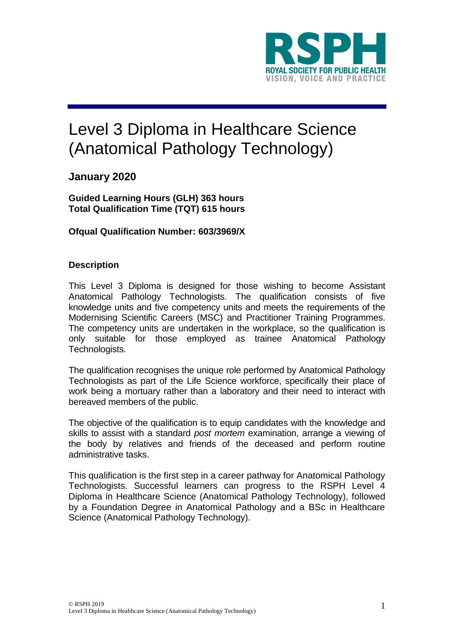

# Level 3 Diploma in Healthcare Science (Anatomical Pathology Technology)

# **January 2020**

**Guided Learning Hours (GLH) 363 hours Total Qualification Time (TQT) 615 hours**

**Ofqual Qualification Number: 603/3969/X**

## **Description**

This Level 3 Diploma is designed for those wishing to become Assistant Anatomical Pathology Technologists. The qualification consists of five knowledge units and five competency units and meets the requirements of the Modernising Scientific Careers (MSC) and Practitioner Training Programmes. The competency units are undertaken in the workplace, so the qualification is only suitable for those employed as trainee Anatomical Pathology Technologists.

The qualification recognises the unique role performed by Anatomical Pathology Technologists as part of the Life Science workforce, specifically their place of work being a mortuary rather than a laboratory and their need to interact with bereaved members of the public.

The objective of the qualification is to equip candidates with the knowledge and skills to assist with a standard *post mortem* examination, arrange a viewing of the body by relatives and friends of the deceased and perform routine administrative tasks.

This qualification is the first step in a career pathway for Anatomical Pathology Technologists. Successful learners can progress to the RSPH Level 4 Diploma in Healthcare Science (Anatomical Pathology Technology), followed by a Foundation Degree in Anatomical Pathology and a BSc in Healthcare Science (Anatomical Pathology Technology).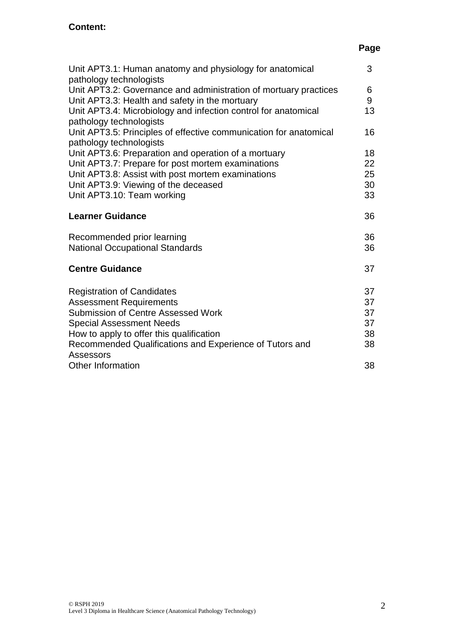# **Page**

| Unit APT3.1: Human anatomy and physiology for anatomical                                                                                                                                                                                                                                                                                   | 3                                |
|--------------------------------------------------------------------------------------------------------------------------------------------------------------------------------------------------------------------------------------------------------------------------------------------------------------------------------------------|----------------------------------|
| pathology technologists<br>Unit APT3.2: Governance and administration of mortuary practices<br>Unit APT3.3: Health and safety in the mortuary<br>Unit APT3.4: Microbiology and infection control for anatomical<br>pathology technologists<br>Unit APT3.5: Principles of effective communication for anatomical<br>pathology technologists | 6<br>9<br>13<br>16               |
| Unit APT3.6: Preparation and operation of a mortuary                                                                                                                                                                                                                                                                                       | 18                               |
| Unit APT3.7: Prepare for post mortem examinations<br>Unit APT3.8: Assist with post mortem examinations<br>Unit APT3.9: Viewing of the deceased<br>Unit APT3.10: Team working                                                                                                                                                               | 22<br>25<br>30<br>33             |
| <b>Learner Guidance</b>                                                                                                                                                                                                                                                                                                                    | 36                               |
| Recommended prior learning<br><b>National Occupational Standards</b>                                                                                                                                                                                                                                                                       | 36<br>36                         |
| <b>Centre Guidance</b>                                                                                                                                                                                                                                                                                                                     | 37                               |
| <b>Registration of Candidates</b><br><b>Assessment Requirements</b><br><b>Submission of Centre Assessed Work</b><br><b>Special Assessment Needs</b><br>How to apply to offer this qualification<br>Recommended Qualifications and Experience of Tutors and<br>Assessors                                                                    | 37<br>37<br>37<br>37<br>38<br>38 |
| <b>Other Information</b>                                                                                                                                                                                                                                                                                                                   | 38                               |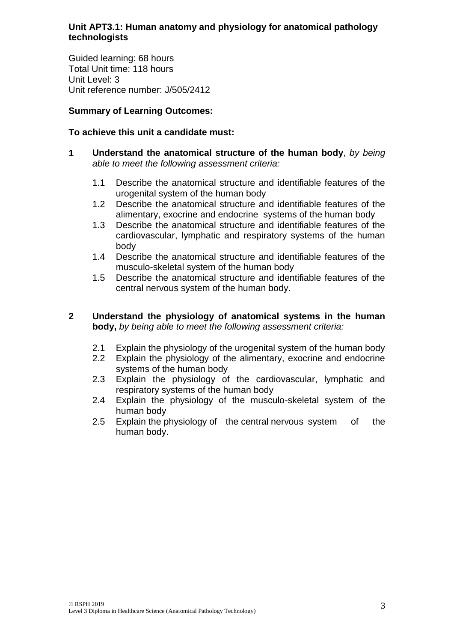## **Unit APT3.1: Human anatomy and physiology for anatomical pathology technologists**

Guided learning: 68 hours Total Unit time: 118 hours Unit Level: 3 Unit reference number: J/505/2412

## **Summary of Learning Outcomes:**

## **To achieve this unit a candidate must:**

- **1 Understand the anatomical structure of the human body**, *by being able to meet the following assessment criteria:*
	- 1.1 Describe the anatomical structure and identifiable features of the urogenital system of the human body
	- 1.2 Describe the anatomical structure and identifiable features of the alimentary, exocrine and endocrine systems of the human body
	- 1.3 Describe the anatomical structure and identifiable features of the cardiovascular, lymphatic and respiratory systems of the human body
	- 1.4 Describe the anatomical structure and identifiable features of the musculo-skeletal system of the human body
	- 1.5 Describe the anatomical structure and identifiable features of the central nervous system of the human body.

## **2 Understand the physiology of anatomical systems in the human body,** *by being able to meet the following assessment criteria:*

- 2.1 Explain the physiology of the urogenital system of the human body
- 2.2 Explain the physiology of the alimentary, exocrine and endocrine systems of the human body
- 2.3 Explain the physiology of the cardiovascular, lymphatic and respiratory systems of the human body
- 2.4 Explain the physiology of the musculo-skeletal system of the human body
- 2.5 Explain the physiology of the central nervous system of the human body.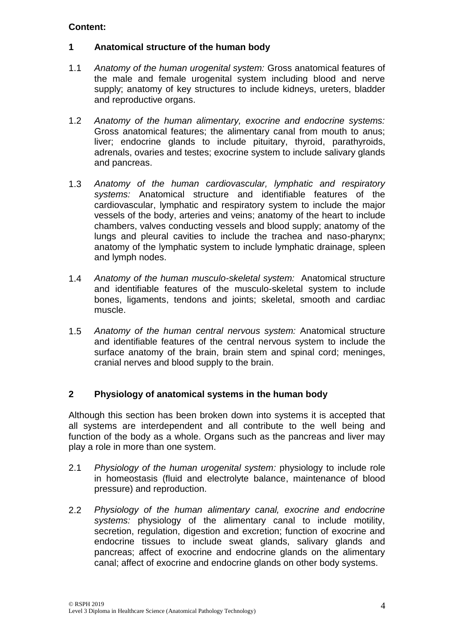## **1 Anatomical structure of the human body**

- 1.1 *Anatomy of the human urogenital system:* Gross anatomical features of the male and female urogenital system including blood and nerve supply; anatomy of key structures to include kidneys, ureters, bladder and reproductive organs.
- 1.2 *Anatomy of the human alimentary, exocrine and endocrine systems:*  Gross anatomical features; the alimentary canal from mouth to anus; liver; endocrine glands to include pituitary, thyroid, parathyroids, adrenals, ovaries and testes; exocrine system to include salivary glands and pancreas.
- 1.3 *Anatomy of the human cardiovascular, lymphatic and respiratory systems:* Anatomical structure and identifiable features of the cardiovascular, lymphatic and respiratory system to include the major vessels of the body, arteries and veins; anatomy of the heart to include chambers, valves conducting vessels and blood supply; anatomy of the lungs and pleural cavities to include the trachea and naso-pharynx; anatomy of the lymphatic system to include lymphatic drainage, spleen and lymph nodes.
- 1.4 *Anatomy of the human musculo-skeletal system:* Anatomical structure and identifiable features of the musculo-skeletal system to include bones, ligaments, tendons and joints; skeletal, smooth and cardiac muscle.
- 1.5 *Anatomy of the human central nervous system:* Anatomical structure and identifiable features of the central nervous system to include the surface anatomy of the brain, brain stem and spinal cord; meninges, cranial nerves and blood supply to the brain.

## **2 Physiology of anatomical systems in the human body**

Although this section has been broken down into systems it is accepted that all systems are interdependent and all contribute to the well being and function of the body as a whole. Organs such as the pancreas and liver may play a role in more than one system.

- 2.1 *Physiology of the human urogenital system:* physiology to include role in homeostasis (fluid and electrolyte balance, maintenance of blood pressure) and reproduction.
- 2.2 *Physiology of the human alimentary canal, exocrine and endocrine systems:* physiology of the alimentary canal to include motility, secretion, regulation, digestion and excretion; function of exocrine and endocrine tissues to include sweat glands, salivary glands and pancreas; affect of exocrine and endocrine glands on the alimentary canal; affect of exocrine and endocrine glands on other body systems.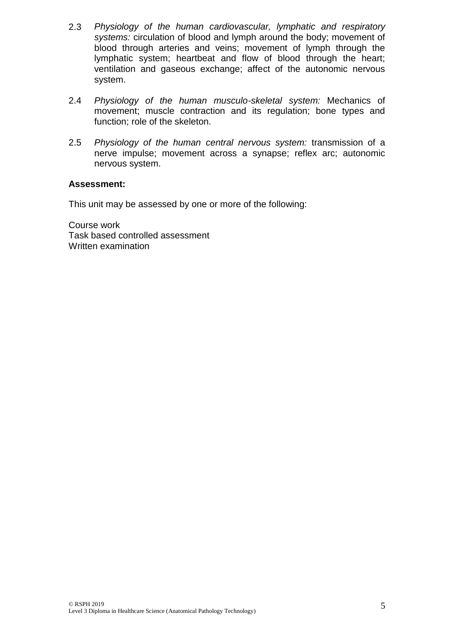- 2.3 *Physiology of the human cardiovascular, lymphatic and respiratory systems:* circulation of blood and lymph around the body; movement of blood through arteries and veins; movement of lymph through the lymphatic system; heartbeat and flow of blood through the heart; ventilation and gaseous exchange; affect of the autonomic nervous system.
- 2.4 *Physiology of the human musculo-skeletal system:* Mechanics of movement; muscle contraction and its regulation; bone types and function; role of the skeleton.
- 2.5 *Physiology of the human central nervous system:* transmission of a nerve impulse; movement across a synapse; reflex arc; autonomic nervous system.

#### **Assessment:**

This unit may be assessed by one or more of the following:

Course work Task based controlled assessment Written examination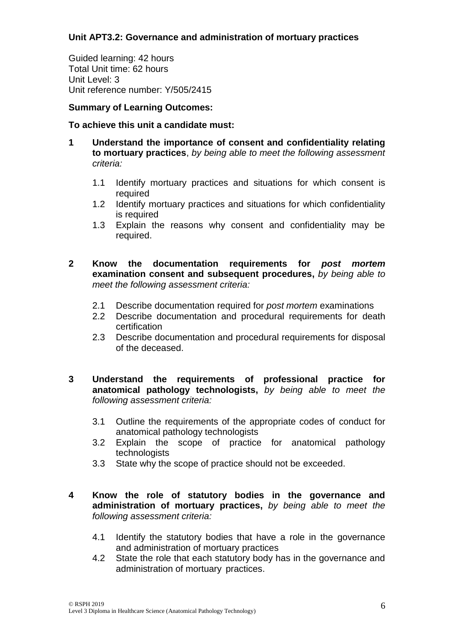## **Unit APT3.2: Governance and administration of mortuary practices**

Guided learning: 42 hours Total Unit time: 62 hours Unit Level: 3 Unit reference number: Y/505/2415

## **Summary of Learning Outcomes:**

## **To achieve this unit a candidate must:**

- **1 Understand the importance of consent and confidentiality relating to mortuary practices**, *by being able to meet the following assessment criteria:*
	- 1.1 Identify mortuary practices and situations for which consent is required
	- 1.2 Identify mortuary practices and situations for which confidentiality is required
	- 1.3 Explain the reasons why consent and confidentiality may be required.
- **2 Know the documentation requirements for** *post mortem* **examination consent and subsequent procedures,** *by being able to meet the following assessment criteria:*
	- 2.1 Describe documentation required for *post mortem* examinations
	- 2.2 Describe documentation and procedural requirements for death certification
	- 2.3 Describe documentation and procedural requirements for disposal of the deceased.
- **3 Understand the requirements of professional practice for anatomical pathology technologists,** *by being able to meet the following assessment criteria:*
	- 3.1 Outline the requirements of the appropriate codes of conduct for anatomical pathology technologists
	- 3.2 Explain the scope of practice for anatomical pathology technologists
	- 3.3 State why the scope of practice should not be exceeded.
- **4 Know the role of statutory bodies in the governance and administration of mortuary practices,** *by being able to meet the following assessment criteria:*
	- 4.1 Identify the statutory bodies that have a role in the governance and administration of mortuary practices
	- 4.2 State the role that each statutory body has in the governance and administration of mortuary practices.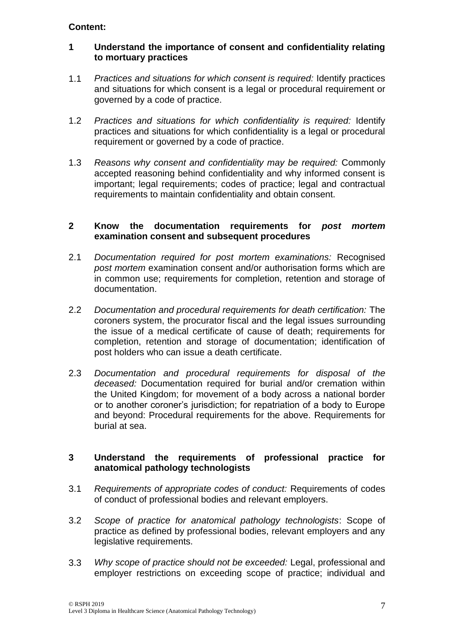## **1 Understand the importance of consent and confidentiality relating to mortuary practices**

- 1.1 *Practices and situations for which consent is required:* Identify practices and situations for which consent is a legal or procedural requirement or governed by a code of practice.
- 1.2 *Practices and situations for which confidentiality is required:* Identify practices and situations for which confidentiality is a legal or procedural requirement or governed by a code of practice.
- 1.3 *Reasons why consent and confidentiality may be required:* Commonly accepted reasoning behind confidentiality and why informed consent is important; legal requirements; codes of practice; legal and contractual requirements to maintain confidentiality and obtain consent.

#### **2 Know the documentation requirements for** *post mortem* **examination consent and subsequent procedures**

- 2.1 *Documentation required for post mortem examinations:* Recognised *post mortem* examination consent and/or authorisation forms which are in common use; requirements for completion, retention and storage of documentation.
- 2.2 *Documentation and procedural requirements for death certification:* The coroners system, the procurator fiscal and the legal issues surrounding the issue of a medical certificate of cause of death; requirements for completion, retention and storage of documentation; identification of post holders who can issue a death certificate.
- 2.3 *Documentation and procedural requirements for disposal of the deceased:* Documentation required for burial and/or cremation within the United Kingdom; for movement of a body across a national border or to another coroner's jurisdiction; for repatriation of a body to Europe and beyond: Procedural requirements for the above. Requirements for burial at sea.

## **3 Understand the requirements of professional practice for anatomical pathology technologists**

- 3.1 *Requirements of appropriate codes of conduct:* Requirements of codes of conduct of professional bodies and relevant employers.
- 3.2 *Scope of practice for anatomical pathology technologists*: Scope of practice as defined by professional bodies, relevant employers and any legislative requirements.
- 3.3 *Why scope of practice should not be exceeded:* Legal, professional and employer restrictions on exceeding scope of practice; individual and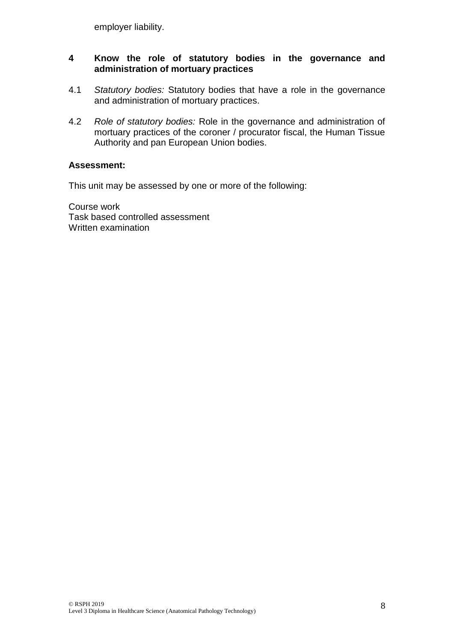employer liability.

## **4 Know the role of statutory bodies in the governance and administration of mortuary practices**

- 4.1 *Statutory bodies:* Statutory bodies that have a role in the governance and administration of mortuary practices.
- 4.2 *Role of statutory bodies:* Role in the governance and administration of mortuary practices of the coroner / procurator fiscal, the Human Tissue Authority and pan European Union bodies.

## **Assessment:**

This unit may be assessed by one or more of the following:

Course work Task based controlled assessment Written examination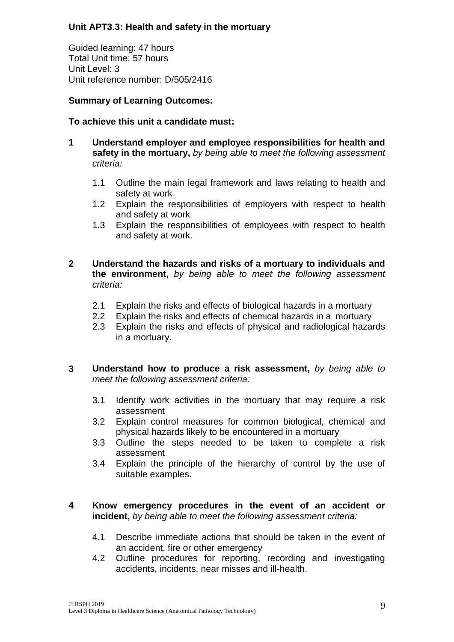## **Unit APT3.3: Health and safety in the mortuary**

Guided learning: 47 hours Total Unit time: 57 hours Unit Level: 3 Unit reference number: D/505/2416

## **Summary of Learning Outcomes:**

## **To achieve this unit a candidate must:**

- **1 Understand employer and employee responsibilities for health and safety in the mortuary,** *by being able to meet the following assessment criteria:*
	- 1.1 Outline the main legal framework and laws relating to health and safety at work
	- 1.2 Explain the responsibilities of employers with respect to health and safety at work
	- 1.3 Explain the responsibilities of employees with respect to health and safety at work.
- **2 Understand the hazards and risks of a mortuary to individuals and the environment,** *by being able to meet the following assessment criteria:*
	- 2.1 Explain the risks and effects of biological hazards in a mortuary
	- 2.2 Explain the risks and effects of chemical hazards in a mortuary
	- 2.3 Explain the risks and effects of physical and radiological hazards in a mortuary.
- **3 Understand how to produce a risk assessment,** *by being able to meet the following assessment criteria:*
	- 3.1 Identify work activities in the mortuary that may require a risk assessment
	- 3.2 Explain control measures for common biological, chemical and physical hazards likely to be encountered in a mortuary
	- 3.3 Outline the steps needed to be taken to complete a risk assessment
	- 3.4 Explain the principle of the hierarchy of control by the use of suitable examples.

## **4 Know emergency procedures in the event of an accident or incident,** *by being able to meet the following assessment criteria:*

- 4.1 Describe immediate actions that should be taken in the event of an accident, fire or other emergency
- 4.2 Outline procedures for reporting, recording and investigating accidents, incidents, near misses and ill-health.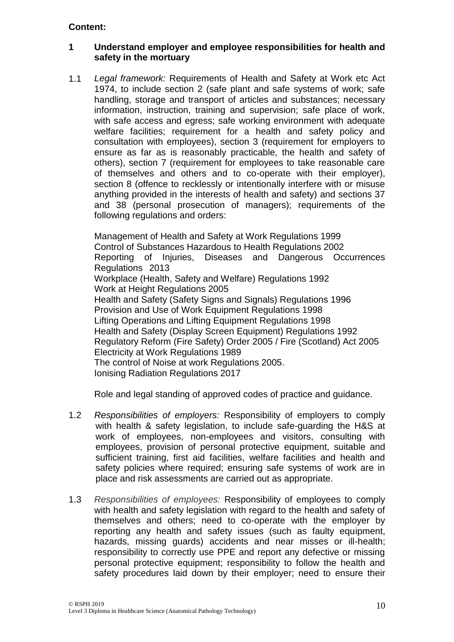## **1 Understand employer and employee responsibilities for health and safety in the mortuary**

1.1 *Legal framework:* Requirements of Health and Safety at Work etc Act 1974, to include section 2 (safe plant and safe systems of work; safe handling, storage and transport of articles and substances; necessary information, instruction, training and supervision; safe place of work, with safe access and egress; safe working environment with adequate welfare facilities; requirement for a health and safety policy and consultation with employees), section 3 (requirement for employers to ensure as far as is reasonably practicable, the health and safety of others), section 7 (requirement for employees to take reasonable care of themselves and others and to co-operate with their employer), section 8 (offence to recklessly or intentionally interfere with or misuse anything provided in the interests of health and safety) and sections 37 and 38 (personal prosecution of managers); requirements of the following regulations and orders:

Management of Health and Safety at Work Regulations 1999 Control of Substances Hazardous to Health Regulations 2002 Reporting of Injuries, Diseases and Dangerous Occurrences Regulations 2013 Workplace (Health, Safety and Welfare) Regulations 1992 Work at Height Regulations 2005 Health and Safety (Safety Signs and Signals) Regulations 1996 Provision and Use of Work Equipment Regulations 1998 Lifting Operations and Lifting Equipment Regulations 1998 Health and Safety (Display Screen Equipment) Regulations 1992 Regulatory Reform (Fire Safety) Order 2005 / Fire (Scotland) Act 2005 Electricity at Work Regulations 1989 The control of Noise at work Regulations 2005. Ionising Radiation Regulations 2017

Role and legal standing of approved codes of practice and guidance.

- 1.2 *Responsibilities of employers:* Responsibility of employers to comply with health & safety legislation, to include safe-guarding the H&S at work of employees, non-employees and visitors, consulting with employees, provision of personal protective equipment, suitable and sufficient training, first aid facilities, welfare facilities and health and safety policies where required; ensuring safe systems of work are in place and risk assessments are carried out as appropriate.
- 1.3 *Responsibilities of employees:* Responsibility of employees to comply with health and safety legislation with regard to the health and safety of themselves and others; need to co-operate with the employer by reporting any health and safety issues (such as faulty equipment, hazards, missing guards) accidents and near misses or ill-health; responsibility to correctly use PPE and report any defective or missing personal protective equipment; responsibility to follow the health and safety procedures laid down by their employer; need to ensure their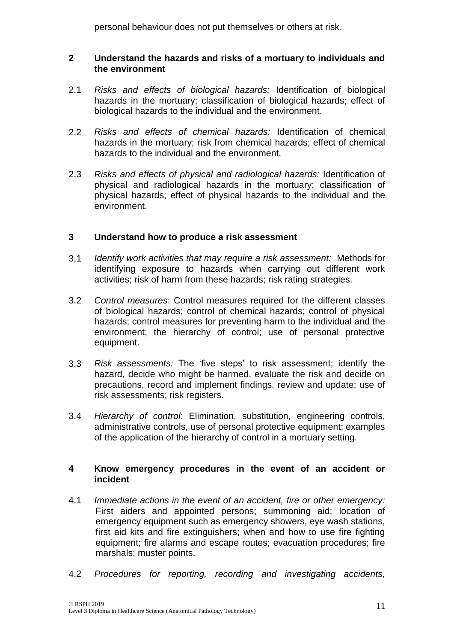personal behaviour does not put themselves or others at risk.

## **2 Understand the hazards and risks of a mortuary to individuals and the environment**

- 2.1 *Risks and effects of biological hazards:* Identification of biological hazards in the mortuary; classification of biological hazards; effect of biological hazards to the individual and the environment.
- 2.2 *Risks and effects of chemical hazards:* Identification of chemical hazards in the mortuary; risk from chemical hazards; effect of chemical hazards to the individual and the environment.
- 2.3 *Risks and effects of physical and radiological hazards:* Identification of physical and radiological hazards in the mortuary; classification of physical hazards; effect of physical hazards to the individual and the environment.

## **3 Understand how to produce a risk assessment**

- 3.1 *Identify work activities that may require a risk assessment:* Methods for identifying exposure to hazards when carrying out different work activities; risk of harm from these hazards; risk rating strategies.
- 3.2 *Control measures*: Control measures required for the different classes of biological hazards; control of chemical hazards; control of physical hazards; control measures for preventing harm to the individual and the environment; the hierarchy of control; use of personal protective equipment.
- 3.3 *Risk assessments:* The 'five steps' to risk assessment; identify the hazard, decide who might be harmed, evaluate the risk and decide on precautions, record and implement findings, review and update; use of risk assessments; risk registers.
- 3.4 *Hierarchy of control*: Elimination, substitution, engineering controls, administrative controls, use of personal protective equipment; examples of the application of the hierarchy of control in a mortuary setting.

## **4 Know emergency procedures in the event of an accident or incident**

- 4.1 *Immediate actions in the event of an accident, fire or other emergency:*  First aiders and appointed persons; summoning aid; location of emergency equipment such as emergency showers, eye wash stations, first aid kits and fire extinguishers; when and how to use fire fighting equipment; fire alarms and escape routes; evacuation procedures; fire marshals; muster points.
- 4.2 *Procedures for reporting, recording and investigating accidents,*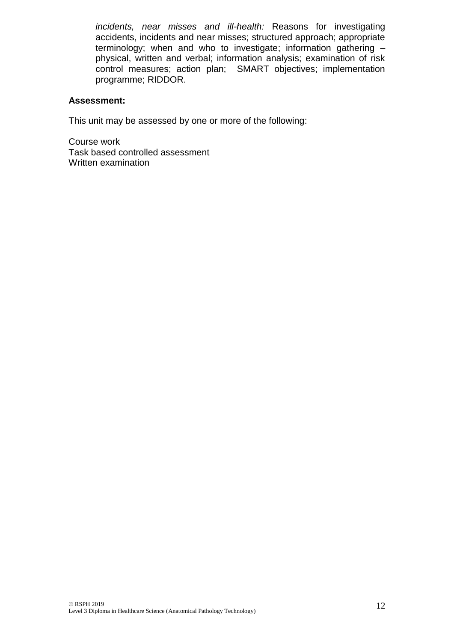*incidents, near misses and ill-health:* Reasons for investigating accidents, incidents and near misses; structured approach; appropriate terminology; when and who to investigate; information gathering – physical, written and verbal; information analysis; examination of risk control measures; action plan; SMART objectives; implementation programme; RIDDOR.

## **Assessment:**

This unit may be assessed by one or more of the following:

Course work Task based controlled assessment Written examination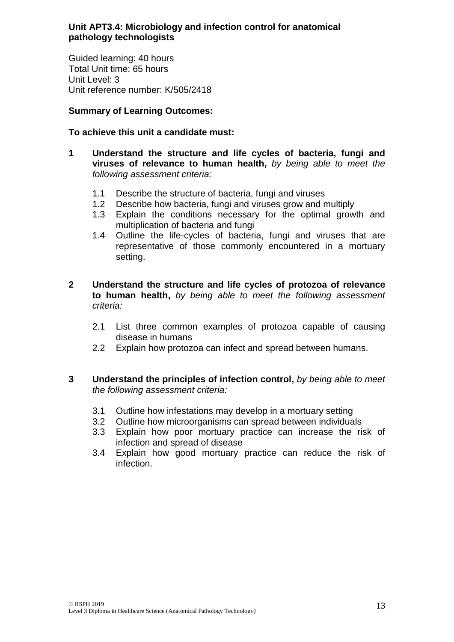## **Unit APT3.4: Microbiology and infection control for anatomical pathology technologists**

Guided learning: 40 hours Total Unit time: 65 hours Unit Level: 3 Unit reference number: K/505/2418

## **Summary of Learning Outcomes:**

## **To achieve this unit a candidate must:**

- **1 Understand the structure and life cycles of bacteria, fungi and viruses of relevance to human health,** *by being able to meet the following assessment criteria:*
	- 1.1 Describe the structure of bacteria, fungi and viruses
	- 1.2 Describe how bacteria, fungi and viruses grow and multiply
	- 1.3 Explain the conditions necessary for the optimal growth and multiplication of bacteria and fungi
	- 1.4 Outline the life-cycles of bacteria, fungi and viruses that are representative of those commonly encountered in a mortuary setting.
- **2 Understand the structure and life cycles of protozoa of relevance to human health,** *by being able to meet the following assessment criteria:*
	- 2.1 List three common examples of protozoa capable of causing disease in humans
	- 2.2 Explain how protozoa can infect and spread between humans.
- **3 Understand the principles of infection control,** *by being able to meet the following assessment criteria:*
	- 3.1 Outline how infestations may develop in a mortuary setting
	- 3.2 Outline how microorganisms can spread between individuals
	- 3.3 Explain how poor mortuary practice can increase the risk of infection and spread of disease
	- 3.4 Explain how good mortuary practice can reduce the risk of infection.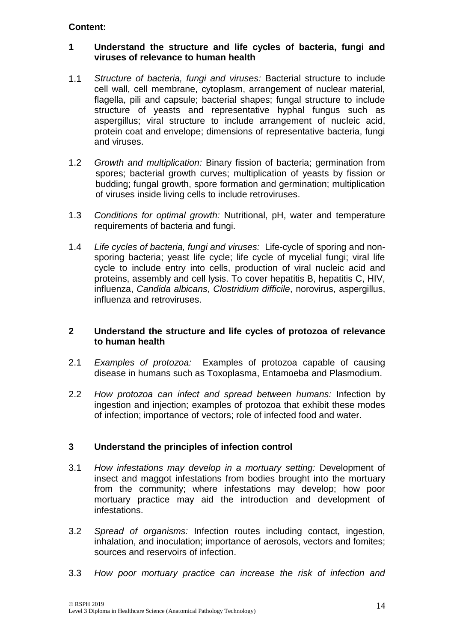## **1 Understand the structure and life cycles of bacteria, fungi and viruses of relevance to human health**

- 1.1 *Structure of bacteria, fungi and viruses:* Bacterial structure to include cell wall, cell membrane, cytoplasm, arrangement of nuclear material, flagella, pili and capsule; bacterial shapes; fungal structure to include structure of yeasts and representative hyphal fungus such as aspergillus; viral structure to include arrangement of nucleic acid, protein coat and envelope; dimensions of representative bacteria, fungi and viruses.
- 1.2 *Growth and multiplication:* Binary fission of bacteria; germination from spores; bacterial growth curves; multiplication of yeasts by fission or budding; fungal growth, spore formation and germination; multiplication of viruses inside living cells to include retroviruses.
- 1.3 *Conditions for optimal growth:* Nutritional, pH, water and temperature requirements of bacteria and fungi.
- 1.4 *Life cycles of bacteria, fungi and viruses:* Life-cycle of sporing and nonsporing bacteria; yeast life cycle; life cycle of mycelial fungi; viral life cycle to include entry into cells, production of viral nucleic acid and proteins, assembly and cell lysis. To cover hepatitis B, hepatitis C, HIV, influenza, *Candida albicans*, *Clostridium difficile*, norovirus, aspergillus, influenza and retroviruses.

## **2 Understand the structure and life cycles of protozoa of relevance to human health**

- 2.1 *Examples of protozoa:* Examples of protozoa capable of causing disease in humans such as Toxoplasma, Entamoeba and Plasmodium.
- 2.2 *How protozoa can infect and spread between humans:* Infection by ingestion and injection; examples of protozoa that exhibit these modes of infection; importance of vectors; role of infected food and water.

## **3 Understand the principles of infection control**

- 3.1 *How infestations may develop in a mortuary setting:* Development of insect and maggot infestations from bodies brought into the mortuary from the community; where infestations may develop; how poor mortuary practice may aid the introduction and development of infestations.
- 3.2 *Spread of organisms:* Infection routes including contact, ingestion, inhalation, and inoculation; importance of aerosols, vectors and fomites; sources and reservoirs of infection.
- 3.3 *How poor mortuary practice can increase the risk of infection and*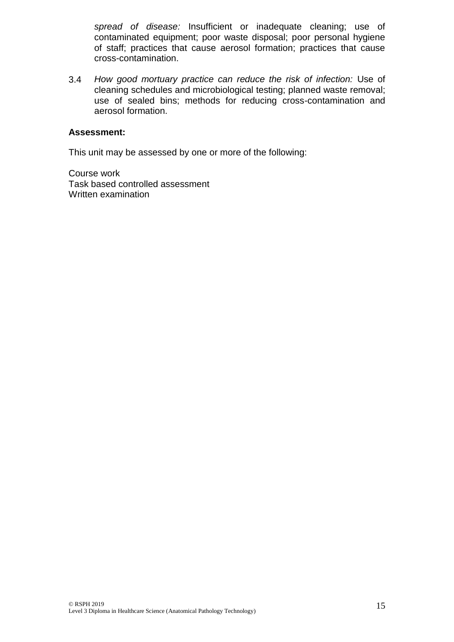*spread of disease:* Insufficient or inadequate cleaning; use of contaminated equipment; poor waste disposal; poor personal hygiene of staff; practices that cause aerosol formation; practices that cause cross-contamination.

3.4 *How good mortuary practice can reduce the risk of infection:* Use of cleaning schedules and microbiological testing; planned waste removal; use of sealed bins; methods for reducing cross-contamination and aerosol formation.

#### **Assessment:**

This unit may be assessed by one or more of the following:

Course work Task based controlled assessment Written examination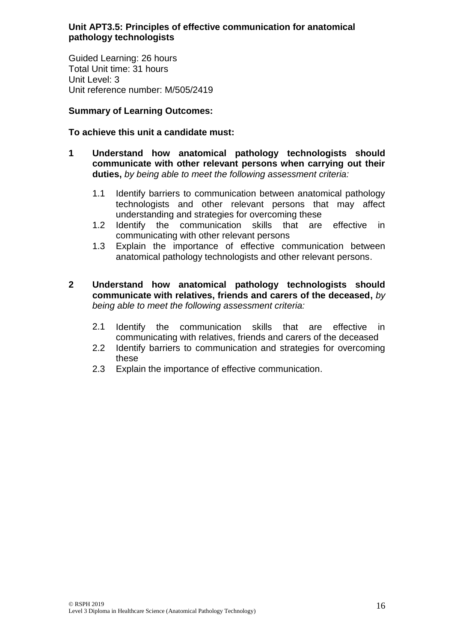## **Unit APT3.5: Principles of effective communication for anatomical pathology technologists**

Guided Learning: 26 hours Total Unit time: 31 hours Unit Level: 3 Unit reference number: M/505/2419

## **Summary of Learning Outcomes:**

## **To achieve this unit a candidate must:**

- **1 Understand how anatomical pathology technologists should communicate with other relevant persons when carrying out their duties,** *by being able to meet the following assessment criteria:*
	- 1.1 Identify barriers to communication between anatomical pathology technologists and other relevant persons that may affect understanding and strategies for overcoming these
	- 1.2 Identify the communication skills that are effective in communicating with other relevant persons
	- 1.3 Explain the importance of effective communication between anatomical pathology technologists and other relevant persons.
- **2 Understand how anatomical pathology technologists should communicate with relatives, friends and carers of the deceased,** *by being able to meet the following assessment criteria:*
	- 2.1 Identify the communication skills that are effective in communicating with relatives, friends and carers of the deceased
	- 2.2 Identify barriers to communication and strategies for overcoming these
	- 2.3 Explain the importance of effective communication.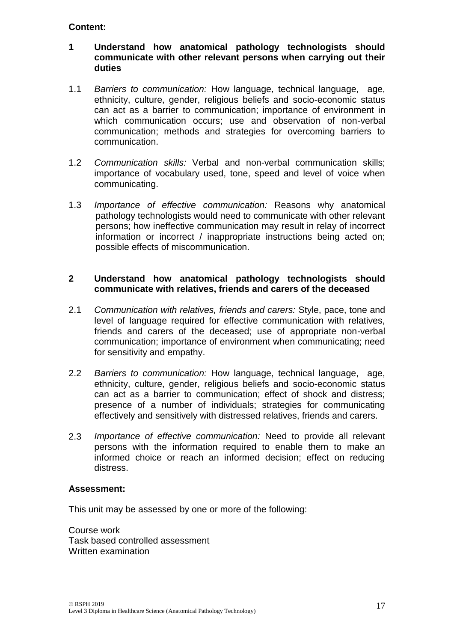## **1 Understand how anatomical pathology technologists should communicate with other relevant persons when carrying out their duties**

- 1.1 *Barriers to communication:* How language, technical language, age, ethnicity, culture, gender, religious beliefs and socio-economic status can act as a barrier to communication; importance of environment in which communication occurs; use and observation of non-verbal communication; methods and strategies for overcoming barriers to communication.
- 1.2 *Communication skills:* Verbal and non-verbal communication skills; importance of vocabulary used, tone, speed and level of voice when communicating.
- 1.3 *Importance of effective communication:* Reasons why anatomical pathology technologists would need to communicate with other relevant persons; how ineffective communication may result in relay of incorrect information or incorrect / inappropriate instructions being acted on; possible effects of miscommunication.

#### **2 Understand how anatomical pathology technologists should communicate with relatives, friends and carers of the deceased**

- 2.1 *Communication with relatives, friends and carers:* Style, pace, tone and level of language required for effective communication with relatives, friends and carers of the deceased; use of appropriate non-verbal communication; importance of environment when communicating; need for sensitivity and empathy.
- 2.2 *Barriers to communication:* How language, technical language, age, ethnicity, culture, gender, religious beliefs and socio-economic status can act as a barrier to communication; effect of shock and distress; presence of a number of individuals; strategies for communicating effectively and sensitively with distressed relatives, friends and carers.
- 2.3 *Importance of effective communication:* Need to provide all relevant persons with the information required to enable them to make an informed choice or reach an informed decision; effect on reducing distress.

#### **Assessment:**

This unit may be assessed by one or more of the following:

Course work Task based controlled assessment Written examination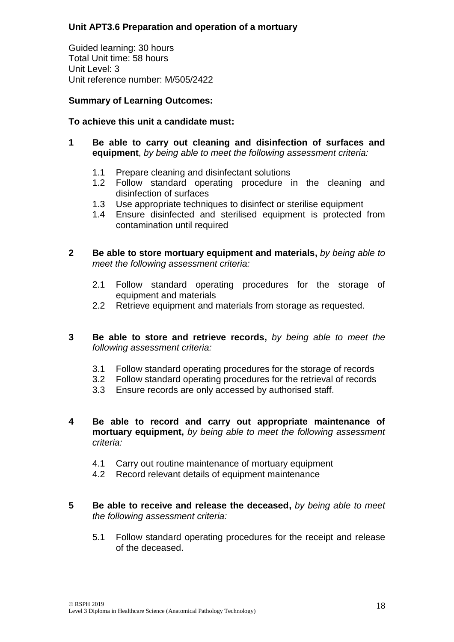## **Unit APT3.6 Preparation and operation of a mortuary**

Guided learning: 30 hours Total Unit time: 58 hours Unit Level: 3 Unit reference number: M/505/2422

## **Summary of Learning Outcomes:**

## **To achieve this unit a candidate must:**

- **1 Be able to carry out cleaning and disinfection of surfaces and equipment**, *by being able to meet the following assessment criteria:*
	- 1.1 Prepare cleaning and disinfectant solutions
	- 1.2 Follow standard operating procedure in the cleaning and disinfection of surfaces
	- 1.3 Use appropriate techniques to disinfect or sterilise equipment
	- 1.4 Ensure disinfected and sterilised equipment is protected from contamination until required
- **2 Be able to store mortuary equipment and materials,** *by being able to meet the following assessment criteria:*
	- 2.1 Follow standard operating procedures for the storage of equipment and materials
	- 2.2 Retrieve equipment and materials from storage as requested.
- **3 Be able to store and retrieve records,** *by being able to meet the following assessment criteria:*
	- 3.1 Follow standard operating procedures for the storage of records
	- 3.2 Follow standard operating procedures for the retrieval of records
	- 3.3 Ensure records are only accessed by authorised staff.
- **4 Be able to record and carry out appropriate maintenance of mortuary equipment,** *by being able to meet the following assessment criteria:*
	- 4.1 Carry out routine maintenance of mortuary equipment
	- 4.2 Record relevant details of equipment maintenance
- **5 Be able to receive and release the deceased,** *by being able to meet the following assessment criteria:*
	- 5.1 Follow standard operating procedures for the receipt and release of the deceased.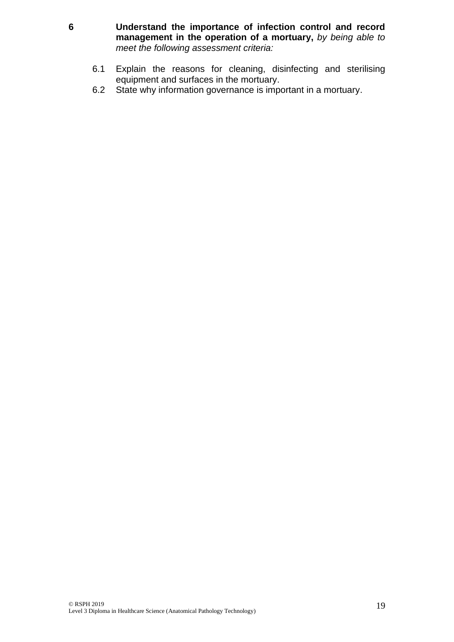- **6 Understand the importance of infection control and record management in the operation of a mortuary,** *by being able to meet the following assessment criteria:*
	- 6.1 Explain the reasons for cleaning, disinfecting and sterilising equipment and surfaces in the mortuary.
	- 6.2 State why information governance is important in a mortuary.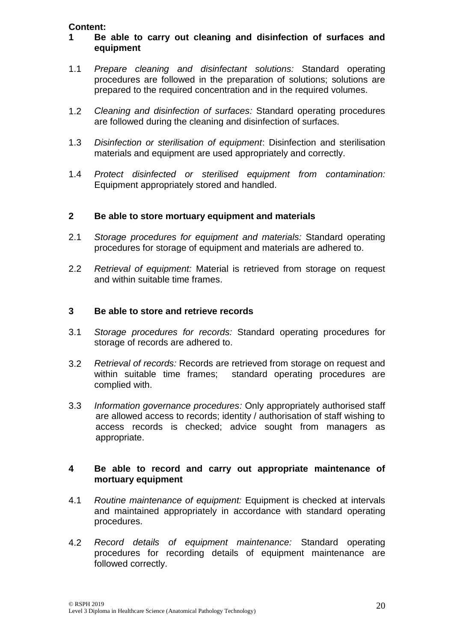## **1 Be able to carry out cleaning and disinfection of surfaces and equipment**

- 1.1 *Prepare cleaning and disinfectant solutions:* Standard operating procedures are followed in the preparation of solutions; solutions are prepared to the required concentration and in the required volumes.
- 1.2 *Cleaning and disinfection of surfaces:* Standard operating procedures are followed during the cleaning and disinfection of surfaces.
- 1.3 *Disinfection or sterilisation of equipment*: Disinfection and sterilisation materials and equipment are used appropriately and correctly.
- 1.4 *Protect disinfected or sterilised equipment from contamination:*  Equipment appropriately stored and handled.

## **2 Be able to store mortuary equipment and materials**

- 2.1 *Storage procedures for equipment and materials:* Standard operating procedures for storage of equipment and materials are adhered to.
- 2.2 *Retrieval of equipment:* Material is retrieved from storage on request and within suitable time frames.

#### **3 Be able to store and retrieve records**

- 3.1 *Storage procedures for records:* Standard operating procedures for storage of records are adhered to.
- 3.2 *Retrieval of records:* Records are retrieved from storage on request and within suitable time frames; standard operating procedures are complied with.
- 3.3 *Information governance procedures:* Only appropriately authorised staff are allowed access to records; identity / authorisation of staff wishing to access records is checked; advice sought from managers as appropriate.

#### **4 Be able to record and carry out appropriate maintenance of mortuary equipment**

- 4.1 *Routine maintenance of equipment:* Equipment is checked at intervals and maintained appropriately in accordance with standard operating procedures.
- 4.2 *Record details of equipment maintenance:* Standard operating procedures for recording details of equipment maintenance are followed correctly.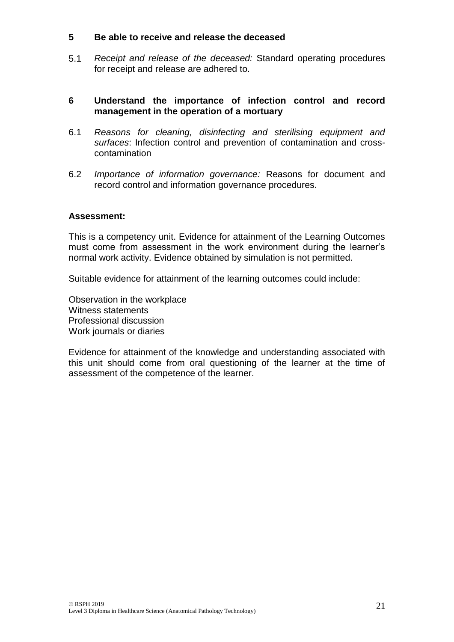#### **5 Be able to receive and release the deceased**

5.1 *Receipt and release of the deceased:* Standard operating procedures for receipt and release are adhered to.

#### **6 Understand the importance of infection control and record management in the operation of a mortuary**

- 6.1 *Reasons for cleaning, disinfecting and sterilising equipment and surfaces*: Infection control and prevention of contamination and crosscontamination
- 6.2 *Importance of information governance:* Reasons for document and record control and information governance procedures.

#### **Assessment:**

This is a competency unit. Evidence for attainment of the Learning Outcomes must come from assessment in the work environment during the learner's normal work activity. Evidence obtained by simulation is not permitted.

Suitable evidence for attainment of the learning outcomes could include:

Observation in the workplace Witness statements Professional discussion Work journals or diaries

Evidence for attainment of the knowledge and understanding associated with this unit should come from oral questioning of the learner at the time of assessment of the competence of the learner.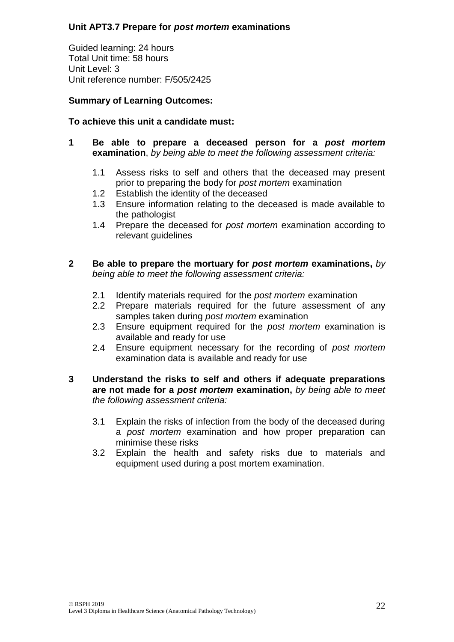## **Unit APT3.7 Prepare for** *post mortem* **examinations**

Guided learning: 24 hours Total Unit time: 58 hours Unit Level: 3 Unit reference number: F/505/2425

## **Summary of Learning Outcomes:**

## **To achieve this unit a candidate must:**

- **1 Be able to prepare a deceased person for a** *post mortem* **examination**, *by being able to meet the following assessment criteria:*
	- 1.1 Assess risks to self and others that the deceased may present prior to preparing the body for *post mortem* examination
	- 1.2 Establish the identity of the deceased
	- 1.3 Ensure information relating to the deceased is made available to the pathologist
	- 1.4 Prepare the deceased for *post mortem* examination according to relevant guidelines

## **2 Be able to prepare the mortuary for** *post mortem* **examinations,** *by being able to meet the following assessment criteria:*

- 2.1 Identify materials required for the *post mortem* examination
- 2.2 Prepare materials required for the future assessment of any samples taken during *post mortem* examination
- 2.3 Ensure equipment required for the *post mortem* examination is available and ready for use
- 2.4 Ensure equipment necessary for the recording of *post mortem* examination data is available and ready for use

## **3 Understand the risks to self and others if adequate preparations are not made for a** *post mortem* **examination,** *by being able to meet the following assessment criteria:*

- 3.1 Explain the risks of infection from the body of the deceased during a *post mortem* examination and how proper preparation can minimise these risks
- 3.2 Explain the health and safety risks due to materials and equipment used during a post mortem examination.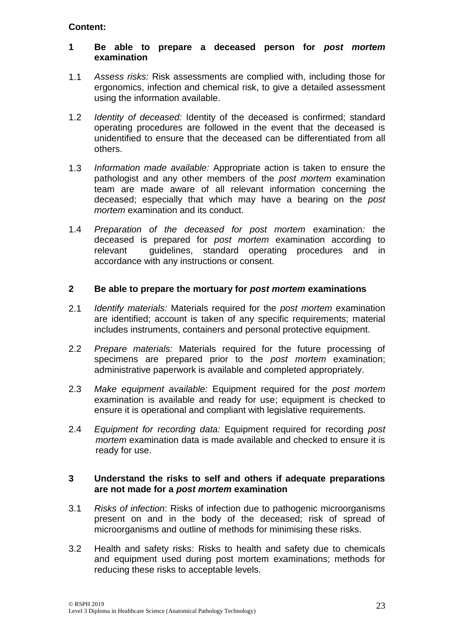## **1 Be able to prepare a deceased person for** *post mortem* **examination**

- 1.1 *Assess risks:* Risk assessments are complied with, including those for ergonomics, infection and chemical risk, to give a detailed assessment using the information available.
- 1.2 *Identity of deceased:* Identity of the deceased is confirmed; standard operating procedures are followed in the event that the deceased is unidentified to ensure that the deceased can be differentiated from all others.
- 1.3 *Information made available:* Appropriate action is taken to ensure the pathologist and any other members of the *post mortem* examination team are made aware of all relevant information concerning the deceased; especially that which may have a bearing on the *post mortem* examination and its conduct.
- 1.4 *Preparation of the deceased for post mortem* examination*:* the deceased is prepared for *post mortem* examination according to relevant guidelines, standard operating procedures and in accordance with any instructions or consent.

## **2 Be able to prepare the mortuary for** *post mortem* **examinations**

- 2.1 *Identify materials:* Materials required for the *post mortem* examination are identified; account is taken of any specific requirements; material includes instruments, containers and personal protective equipment.
- 2.2 *Prepare materials:* Materials required for the future processing of specimens are prepared prior to the *post mortem* examination; administrative paperwork is available and completed appropriately.
- 2.3 *Make equipment available:* Equipment required for the *post mortem*  examination is available and ready for use; equipment is checked to ensure it is operational and compliant with legislative requirements.
- 2.4 *Equipment for recording data:* Equipment required for recording *post mortem* examination data is made available and checked to ensure it is ready for use.

## **3 Understand the risks to self and others if adequate preparations are not made for a** *post mortem* **examination**

- 3.1 *Risks of infection*: Risks of infection due to pathogenic microorganisms present on and in the body of the deceased; risk of spread of microorganisms and outline of methods for minimising these risks.
- 3.2 Health and safety risks: Risks to health and safety due to chemicals and equipment used during post mortem examinations; methods for reducing these risks to acceptable levels.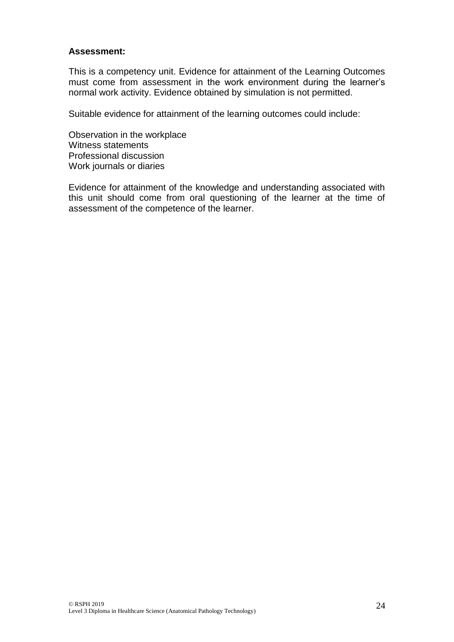#### **Assessment:**

This is a competency unit. Evidence for attainment of the Learning Outcomes must come from assessment in the work environment during the learner's normal work activity. Evidence obtained by simulation is not permitted.

Suitable evidence for attainment of the learning outcomes could include:

Observation in the workplace Witness statements Professional discussion Work journals or diaries

Evidence for attainment of the knowledge and understanding associated with this unit should come from oral questioning of the learner at the time of assessment of the competence of the learner.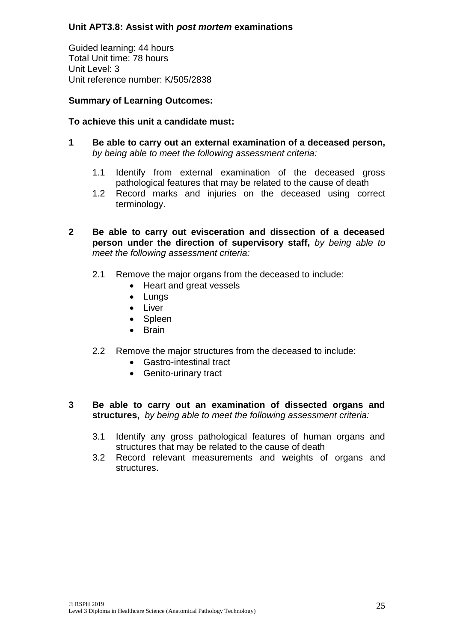## **Unit APT3.8: Assist with** *post mortem* **examinations**

Guided learning: 44 hours Total Unit time: 78 hours Unit Level: 3 Unit reference number: K/505/2838

## **Summary of Learning Outcomes:**

#### **To achieve this unit a candidate must:**

- **1 Be able to carry out an external examination of a deceased person,**  *by being able to meet the following assessment criteria:*
	- 1.1 Identify from external examination of the deceased gross pathological features that may be related to the cause of death
	- 1.2 Record marks and injuries on the deceased using correct terminology.
- **2 Be able to carry out evisceration and dissection of a deceased person under the direction of supervisory staff,** *by being able to meet the following assessment criteria:*
	- 2.1 Remove the major organs from the deceased to include:
		- Heart and great vessels
		- Lungs
		- Liver
		- Spleen
		- Brain
	- 2.2 Remove the major structures from the deceased to include:
		- Gastro-intestinal tract
		- Genito-urinary tract

#### **3 Be able to carry out an examination of dissected organs and structures,** *by being able to meet the following assessment criteria:*

- 3.1 Identify any gross pathological features of human organs and structures that may be related to the cause of death
- 3.2 Record relevant measurements and weights of organs and structures.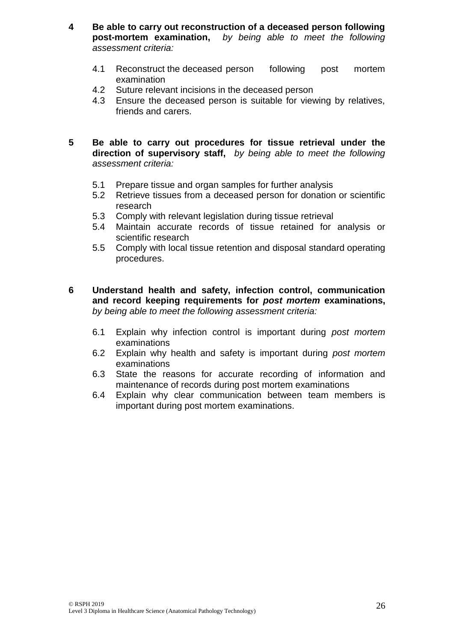- **4 Be able to carry out reconstruction of a deceased person following post-mortem examination,** *by being able to meet the following assessment criteria:*
	- 4.1 Reconstruct the deceased person following post mortem examination
	- 4.2 Suture relevant incisions in the deceased person
	- 4.3 Ensure the deceased person is suitable for viewing by relatives, friends and carers.
- **5 Be able to carry out procedures for tissue retrieval under the direction of supervisory staff,** *by being able to meet the following assessment criteria:*
	- 5.1 Prepare tissue and organ samples for further analysis
	- 5.2 Retrieve tissues from a deceased person for donation or scientific research
	- 5.3 Comply with relevant legislation during tissue retrieval
	- 5.4 Maintain accurate records of tissue retained for analysis or scientific research
	- 5.5 Comply with local tissue retention and disposal standard operating procedures.
- **6 Understand health and safety, infection control, communication and record keeping requirements for** *post mortem* **examinations,** *by being able to meet the following assessment criteria:*
	- 6.1 Explain why infection control is important during *post mortem* examinations
	- 6.2 Explain why health and safety is important during *post mortem* examinations
	- 6.3 State the reasons for accurate recording of information and maintenance of records during post mortem examinations
	- 6.4 Explain why clear communication between team members is important during post mortem examinations.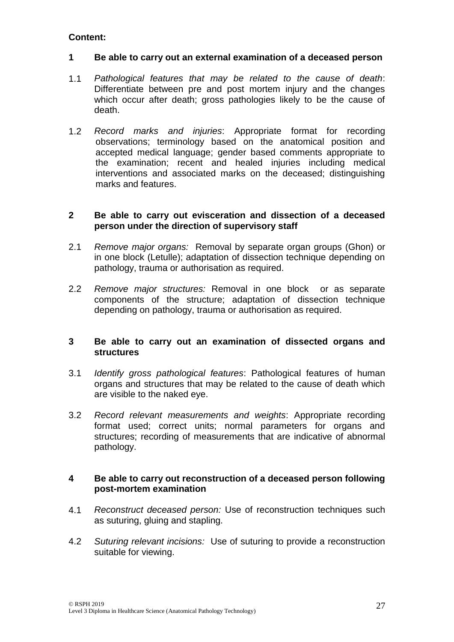#### **1 Be able to carry out an external examination of a deceased person**

- 1.1 *Pathological features that may be related to the cause of death*: Differentiate between pre and post mortem injury and the changes which occur after death; gross pathologies likely to be the cause of death.
- 1.2 *Record marks and injuries*: Appropriate format for recording observations; terminology based on the anatomical position and accepted medical language; gender based comments appropriate to the examination; recent and healed injuries including medical interventions and associated marks on the deceased; distinguishing marks and features.

## **2 Be able to carry out evisceration and dissection of a deceased person under the direction of supervisory staff**

- 2.1 *Remove major organs:* Removal by separate organ groups (Ghon) or in one block (Letulle); adaptation of dissection technique depending on pathology, trauma or authorisation as required.
- 2.2 *Remove major structures:* Removal in one block or as separate components of the structure; adaptation of dissection technique depending on pathology, trauma or authorisation as required.

## **3 Be able to carry out an examination of dissected organs and structures**

- 3.1 *Identify gross pathological features*: Pathological features of human organs and structures that may be related to the cause of death which are visible to the naked eye.
- 3.2 *Record relevant measurements and weights*: Appropriate recording format used; correct units; normal parameters for organs and structures; recording of measurements that are indicative of abnormal pathology.

#### **4 Be able to carry out reconstruction of a deceased person following post-mortem examination**

- 4.1 *Reconstruct deceased person:* Use of reconstruction techniques such as suturing, gluing and stapling.
- 4.2 *Suturing relevant incisions:* Use of suturing to provide a reconstruction suitable for viewing.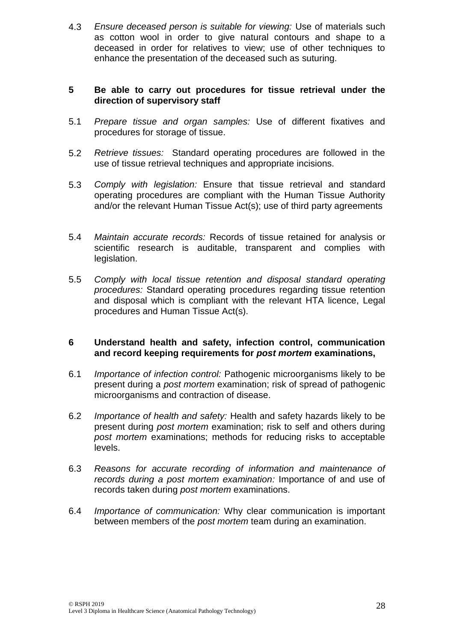4.3 *Ensure deceased person is suitable for viewing:* Use of materials such as cotton wool in order to give natural contours and shape to a deceased in order for relatives to view; use of other techniques to enhance the presentation of the deceased such as suturing.

## **5 Be able to carry out procedures for tissue retrieval under the direction of supervisory staff**

- 5.1 *Prepare tissue and organ samples:* Use of different fixatives and procedures for storage of tissue.
- 5.2 *Retrieve tissues:* Standard operating procedures are followed in the use of tissue retrieval techniques and appropriate incisions.
- 5.3 *Comply with legislation:* Ensure that tissue retrieval and standard operating procedures are compliant with the Human Tissue Authority and/or the relevant Human Tissue Act(s); use of third party agreements
- 5.4 *Maintain accurate records:* Records of tissue retained for analysis or scientific research is auditable, transparent and complies with legislation.
- 5.5 *Comply with local tissue retention and disposal standard operating procedures:* Standard operating procedures regarding tissue retention and disposal which is compliant with the relevant HTA licence, Legal procedures and Human Tissue Act(s).

## **6 Understand health and safety, infection control, communication and record keeping requirements for** *post mortem* **examinations,**

- 6.1 *Importance of infection control:* Pathogenic microorganisms likely to be present during a *post mortem* examination; risk of spread of pathogenic microorganisms and contraction of disease.
- 6.2 *Importance of health and safety:* Health and safety hazards likely to be present during *post mortem* examination; risk to self and others during *post mortem* examinations; methods for reducing risks to acceptable levels.
- 6.3 *Reasons for accurate recording of information and maintenance of records during a post mortem examination:* Importance of and use of records taken during *post mortem* examinations.
- 6.4 *Importance of communication:* Why clear communication is important between members of the *post mortem* team during an examination.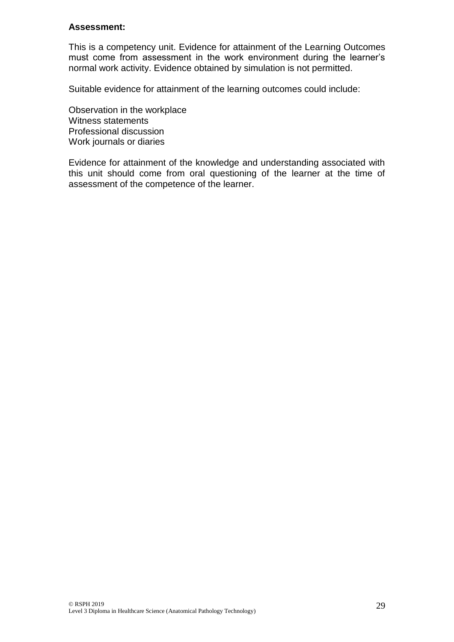#### **Assessment:**

This is a competency unit. Evidence for attainment of the Learning Outcomes must come from assessment in the work environment during the learner's normal work activity. Evidence obtained by simulation is not permitted.

Suitable evidence for attainment of the learning outcomes could include:

Observation in the workplace Witness statements Professional discussion Work journals or diaries

Evidence for attainment of the knowledge and understanding associated with this unit should come from oral questioning of the learner at the time of assessment of the competence of the learner.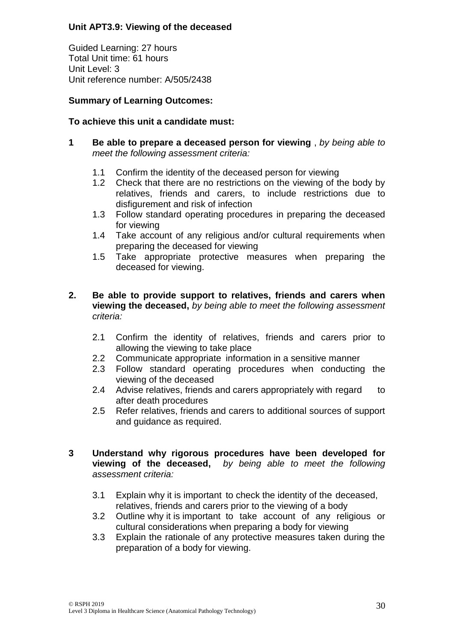## **Unit APT3.9: Viewing of the deceased**

Guided Learning: 27 hours Total Unit time: 61 hours Unit Level: 3 Unit reference number: A/505/2438

## **Summary of Learning Outcomes:**

## **To achieve this unit a candidate must:**

- **1 Be able to prepare a deceased person for viewing** , *by being able to meet the following assessment criteria:*
	- 1.1 Confirm the identity of the deceased person for viewing
	- 1.2 Check that there are no restrictions on the viewing of the body by relatives, friends and carers, to include restrictions due to disfigurement and risk of infection
	- 1.3 Follow standard operating procedures in preparing the deceased for viewing
	- 1.4 Take account of any religious and/or cultural requirements when preparing the deceased for viewing
	- 1.5 Take appropriate protective measures when preparing the deceased for viewing.
- **2. Be able to provide support to relatives, friends and carers when viewing the deceased,** *by being able to meet the following assessment criteria:*
	- 2.1 Confirm the identity of relatives, friends and carers prior to allowing the viewing to take place
	- 2.2 Communicate appropriate information in a sensitive manner
	- 2.3 Follow standard operating procedures when conducting the viewing of the deceased
	- 2.4 Advise relatives, friends and carers appropriately with regard to after death procedures
	- 2.5 Refer relatives, friends and carers to additional sources of support and guidance as required.
- **3 Understand why rigorous procedures have been developed for viewing of the deceased,** *by being able to meet the following assessment criteria:*
	- 3.1 Explain why it is important to check the identity of the deceased, relatives, friends and carers prior to the viewing of a body
	- 3.2 Outline why it is important to take account of any religious or cultural considerations when preparing a body for viewing
	- 3.3 Explain the rationale of any protective measures taken during the preparation of a body for viewing.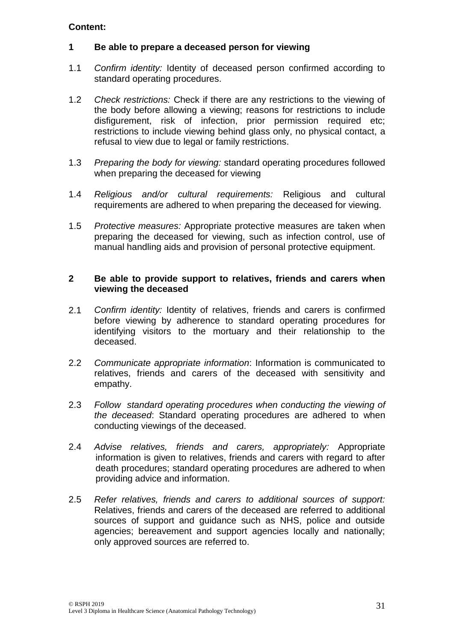## **1 Be able to prepare a deceased person for viewing**

- 1.1 *Confirm identity:* Identity of deceased person confirmed according to standard operating procedures.
- 1.2 *Check restrictions:* Check if there are any restrictions to the viewing of the body before allowing a viewing; reasons for restrictions to include disfigurement, risk of infection, prior permission required etc; restrictions to include viewing behind glass only, no physical contact, a refusal to view due to legal or family restrictions.
- 1.3 *Preparing the body for viewing:* standard operating procedures followed when preparing the deceased for viewing
- 1.4 *Religious and/or cultural requirements:* Religious and cultural requirements are adhered to when preparing the deceased for viewing.
- 1.5 *Protective measures:* Appropriate protective measures are taken when preparing the deceased for viewing, such as infection control, use of manual handling aids and provision of personal protective equipment.

#### **2 Be able to provide support to relatives, friends and carers when viewing the deceased**

- 2.1 *Confirm identity:* Identity of relatives, friends and carers is confirmed before viewing by adherence to standard operating procedures for identifying visitors to the mortuary and their relationship to the deceased.
- 2.2 *Communicate appropriate information*: Information is communicated to relatives, friends and carers of the deceased with sensitivity and empathy.
- 2.3 *Follow standard operating procedures when conducting the viewing of the deceased*: Standard operating procedures are adhered to when conducting viewings of the deceased.
- 2.4 *Advise relatives, friends and carers, appropriately:* Appropriate information is given to relatives, friends and carers with regard to after death procedures; standard operating procedures are adhered to when providing advice and information.
- 2.5 *Refer relatives, friends and carers to additional sources of support:*  Relatives, friends and carers of the deceased are referred to additional sources of support and guidance such as NHS, police and outside agencies; bereavement and support agencies locally and nationally; only approved sources are referred to.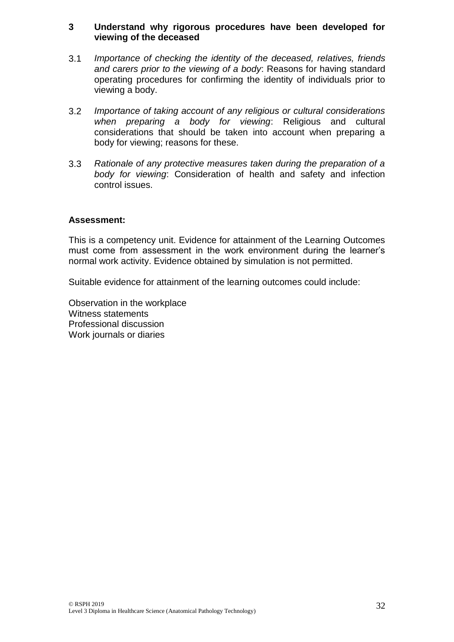#### **3 Understand why rigorous procedures have been developed for viewing of the deceased**

- 3.1 *Importance of checking the identity of the deceased, relatives, friends and carers prior to the viewing of a body*: Reasons for having standard operating procedures for confirming the identity of individuals prior to viewing a body.
- 3.2 *Importance of taking account of any religious or cultural considerations when preparing a body for viewing*: Religious and cultural considerations that should be taken into account when preparing a body for viewing; reasons for these.
- 3.3 *Rationale of any protective measures taken during the preparation of a body for viewing*: Consideration of health and safety and infection control issues.

#### **Assessment:**

This is a competency unit. Evidence for attainment of the Learning Outcomes must come from assessment in the work environment during the learner's normal work activity. Evidence obtained by simulation is not permitted.

Suitable evidence for attainment of the learning outcomes could include:

Observation in the workplace Witness statements Professional discussion Work journals or diaries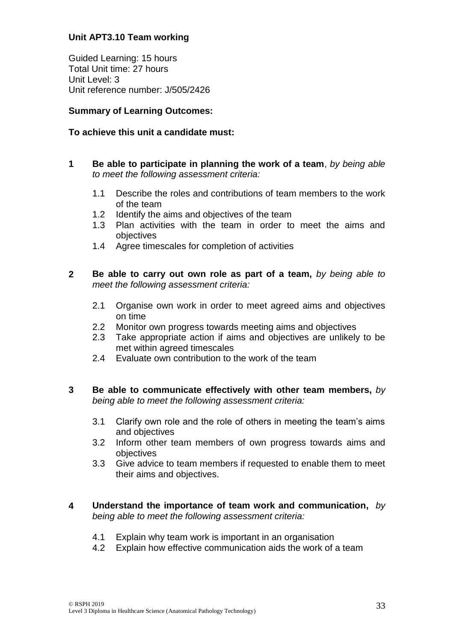## **Unit APT3.10 Team working**

Guided Learning: 15 hours Total Unit time: 27 hours Unit Level: 3 Unit reference number: J/505/2426

## **Summary of Learning Outcomes:**

## **To achieve this unit a candidate must:**

- **1 Be able to participate in planning the work of a team**, *by being able to meet the following assessment criteria:*
	- 1.1 Describe the roles and contributions of team members to the work of the team
	- 1.2 Identify the aims and objectives of the team
	- 1.3 Plan activities with the team in order to meet the aims and objectives
	- 1.4 Agree timescales for completion of activities
- **2 Be able to carry out own role as part of a team,** *by being able to meet the following assessment criteria:*
	- 2.1 Organise own work in order to meet agreed aims and objectives on time
	- 2.2 Monitor own progress towards meeting aims and objectives
	- 2.3 Take appropriate action if aims and objectives are unlikely to be met within agreed timescales
	- 2.4 Evaluate own contribution to the work of the team
- **3 Be able to communicate effectively with other team members,** *by being able to meet the following assessment criteria:*
	- 3.1 Clarify own role and the role of others in meeting the team's aims and objectives
	- 3.2 Inform other team members of own progress towards aims and objectives
	- 3.3 Give advice to team members if requested to enable them to meet their aims and objectives.
- **4 Understand the importance of team work and communication,** *by being able to meet the following assessment criteria:*
	- 4.1 Explain why team work is important in an organisation
	- 4.2 Explain how effective communication aids the work of a team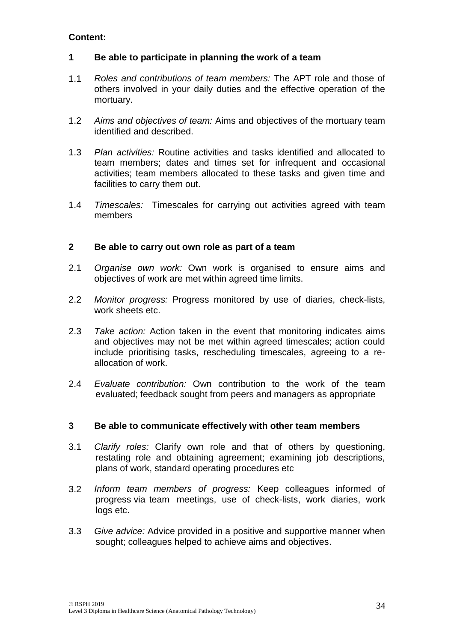## **1 Be able to participate in planning the work of a team**

- 1.1 *Roles and contributions of team members:* The APT role and those of others involved in your daily duties and the effective operation of the mortuary.
- 1.2 *Aims and objectives of team:* Aims and objectives of the mortuary team identified and described.
- 1.3 *Plan activities:* Routine activities and tasks identified and allocated to team members; dates and times set for infrequent and occasional activities; team members allocated to these tasks and given time and facilities to carry them out.
- 1.4 *Timescales:* Timescales for carrying out activities agreed with team members

## **2 Be able to carry out own role as part of a team**

- 2.1 *Organise own work:* Own work is organised to ensure aims and objectives of work are met within agreed time limits.
- 2.2 *Monitor progress:* Progress monitored by use of diaries, check-lists, work sheets etc.
- 2.3 *Take action:* Action taken in the event that monitoring indicates aims and objectives may not be met within agreed timescales; action could include prioritising tasks, rescheduling timescales, agreeing to a reallocation of work.
- 2.4 *Evaluate contribution:* Own contribution to the work of the team evaluated; feedback sought from peers and managers as appropriate

## **3 Be able to communicate effectively with other team members**

- 3.1 *Clarify roles:* Clarify own role and that of others by questioning, restating role and obtaining agreement; examining job descriptions, plans of work, standard operating procedures etc
- 3.2 *Inform team members of progress:* Keep colleagues informed of progress via team meetings, use of check-lists, work diaries, work logs etc.
- 3.3 *Give advice:* Advice provided in a positive and supportive manner when sought; colleagues helped to achieve aims and objectives.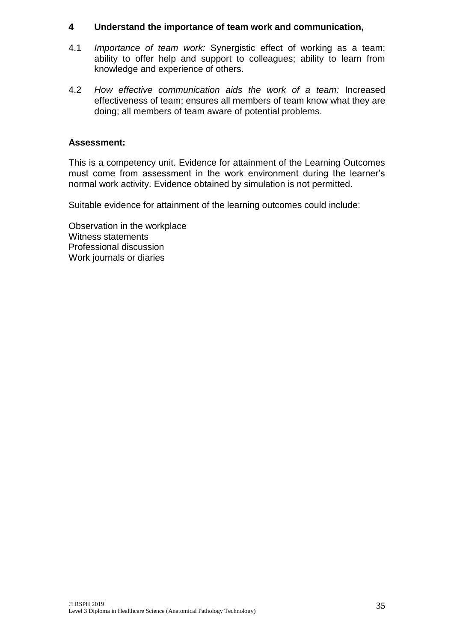## **4 Understand the importance of team work and communication,**

- 4.1 *Importance of team work:* Synergistic effect of working as a team; ability to offer help and support to colleagues; ability to learn from knowledge and experience of others.
- 4.2 *How effective communication aids the work of a team:* Increased effectiveness of team; ensures all members of team know what they are doing; all members of team aware of potential problems.

## **Assessment:**

This is a competency unit. Evidence for attainment of the Learning Outcomes must come from assessment in the work environment during the learner's normal work activity. Evidence obtained by simulation is not permitted.

Suitable evidence for attainment of the learning outcomes could include:

Observation in the workplace Witness statements Professional discussion Work journals or diaries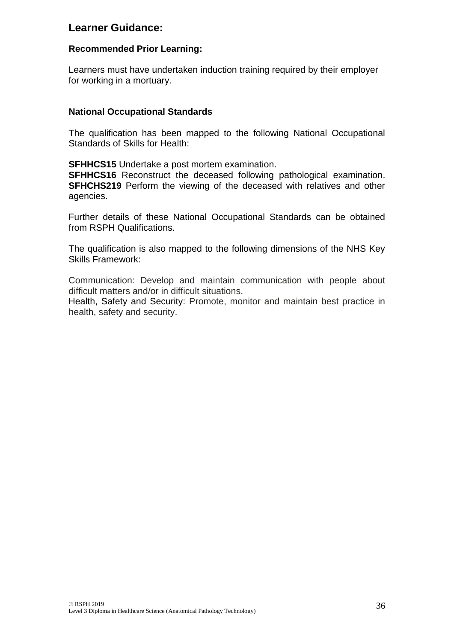# **Learner Guidance:**

## **Recommended Prior Learning:**

Learners must have undertaken induction training required by their employer for working in a mortuary.

## **National Occupational Standards**

The qualification has been mapped to the following National Occupational Standards of Skills for Health:

**SFHHCS15** Undertake a post mortem examination.

**SFHHCS16** Reconstruct the deceased following pathological examination. **SFHCHS219** Perform the viewing of the deceased with relatives and other agencies.

Further details of these National Occupational Standards can be obtained from RSPH Qualifications.

The qualification is also mapped to the following dimensions of the NHS Key Skills Framework:

Communication: Develop and maintain communication with people about difficult matters and/or in difficult situations.

Health, Safety and Security: Promote, monitor and maintain best practice in health, safety and security.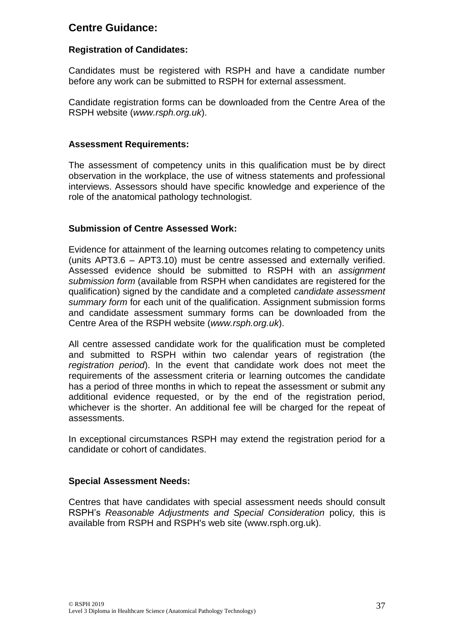# **Centre Guidance:**

## **Registration of Candidates:**

Candidates must be registered with RSPH and have a candidate number before any work can be submitted to RSPH for external assessment.

Candidate registration forms can be downloaded from the Centre Area of the RSPH website (*www.rsph.org.uk*).

#### **Assessment Requirements:**

The assessment of competency units in this qualification must be by direct observation in the workplace, the use of witness statements and professional interviews. Assessors should have specific knowledge and experience of the role of the anatomical pathology technologist.

## **Submission of Centre Assessed Work:**

Evidence for attainment of the learning outcomes relating to competency units (units APT3.6 – APT3.10) must be centre assessed and externally verified. Assessed evidence should be submitted to RSPH with an *assignment submission form* (available from RSPH when candidates are registered for the qualification) signed by the candidate and a completed *candidate assessment summary form* for each unit of the qualification. Assignment submission forms and candidate assessment summary forms can be downloaded from the Centre Area of the RSPH website (*www.rsph.org.uk*).

All centre assessed candidate work for the qualification must be completed and submitted to RSPH within two calendar years of registration (the *registration period*). In the event that candidate work does not meet the requirements of the assessment criteria or learning outcomes the candidate has a period of three months in which to repeat the assessment or submit any additional evidence requested, or by the end of the registration period, whichever is the shorter. An additional fee will be charged for the repeat of assessments.

In exceptional circumstances RSPH may extend the registration period for a candidate or cohort of candidates.

## **Special Assessment Needs:**

Centres that have candidates with special assessment needs should consult RSPH's *Reasonable Adjustments and Special Consideration* policy*,* this is available from RSPH and RSPH's web site (www.rsph.org.uk).